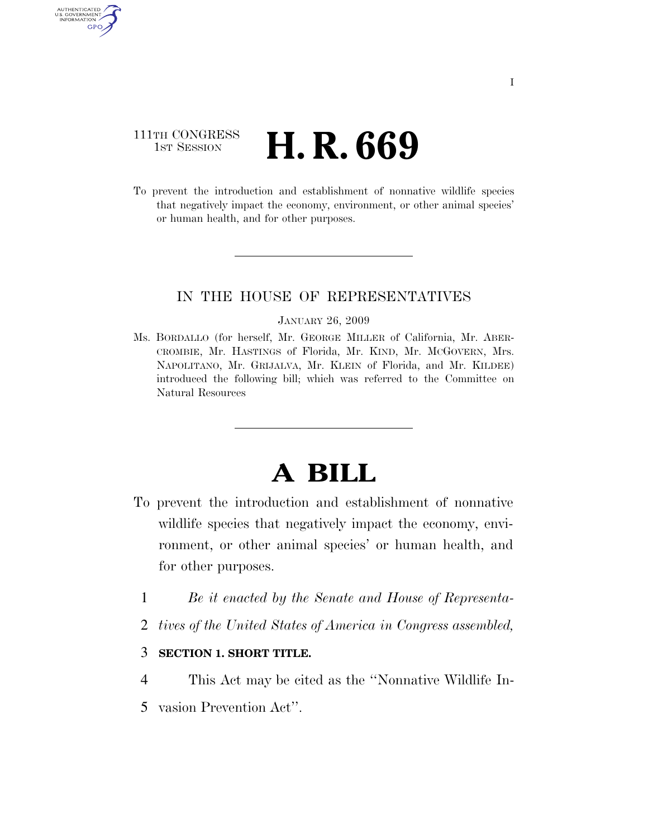### 111TH CONGRESS **1st Session H. R. 669**

AUTHENTICATED U.S. GOVERNMENT GPO

> To prevent the introduction and establishment of nonnative wildlife species that negatively impact the economy, environment, or other animal species' or human health, and for other purposes.

#### IN THE HOUSE OF REPRESENTATIVES

#### JANUARY 26, 2009

Ms. BORDALLO (for herself, Mr. GEORGE MILLER of California, Mr. ABER-CROMBIE, Mr. HASTINGS of Florida, Mr. KIND, Mr. MCGOVERN, Mrs. NAPOLITANO, Mr. GRIJALVA, Mr. KLEIN of Florida, and Mr. KILDEE) introduced the following bill; which was referred to the Committee on Natural Resources

# **A BILL**

- To prevent the introduction and establishment of nonnative wildlife species that negatively impact the economy, environment, or other animal species' or human health, and for other purposes.
	- 1 *Be it enacted by the Senate and House of Representa-*
	- 2 *tives of the United States of America in Congress assembled,*
	- 3 **SECTION 1. SHORT TITLE.**
	- 4 This Act may be cited as the ''Nonnative Wildlife In-
	- 5 vasion Prevention Act''.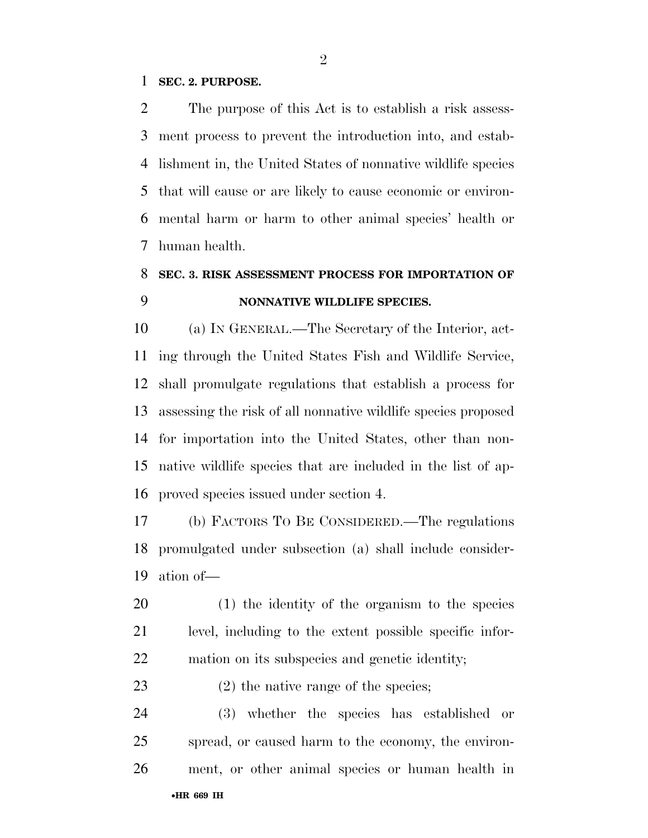#### **SEC. 2. PURPOSE.**

 The purpose of this Act is to establish a risk assess- ment process to prevent the introduction into, and estab- lishment in, the United States of nonnative wildlife species that will cause or are likely to cause economic or environ- mental harm or harm to other animal species' health or human health.

## **SEC. 3. RISK ASSESSMENT PROCESS FOR IMPORTATION OF NONNATIVE WILDLIFE SPECIES.**

 (a) IN GENERAL.—The Secretary of the Interior, act- ing through the United States Fish and Wildlife Service, shall promulgate regulations that establish a process for assessing the risk of all nonnative wildlife species proposed for importation into the United States, other than non- native wildlife species that are included in the list of ap-proved species issued under section 4.

 (b) FACTORS TO BE CONSIDERED.—The regulations promulgated under subsection (a) shall include consider-ation of—

 (1) the identity of the organism to the species level, including to the extent possible specific infor-mation on its subspecies and genetic identity;

23 (2) the native range of the species;

 (3) whether the species has established or spread, or caused harm to the economy, the environ-ment, or other animal species or human health in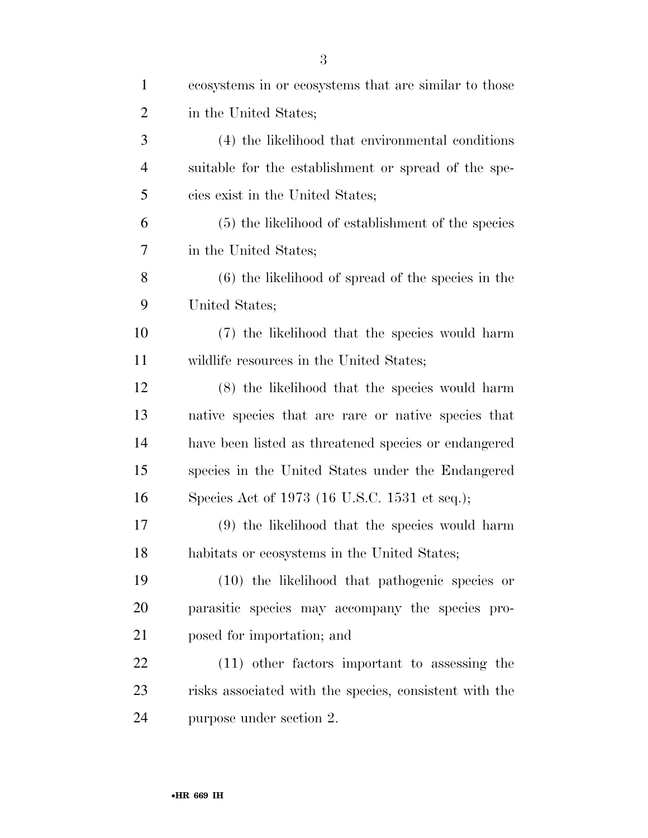| $\mathbf{1}$   | ecosystems in or ecosystems that are similar to those  |
|----------------|--------------------------------------------------------|
| $\overline{2}$ | in the United States;                                  |
| 3              | (4) the likelihood that environmental conditions       |
| $\overline{4}$ | suitable for the establishment or spread of the spe-   |
| 5              | cies exist in the United States;                       |
| 6              | (5) the likelihood of establishment of the species     |
| 7              | in the United States;                                  |
| 8              | $(6)$ the likelihood of spread of the species in the   |
| 9              | United States;                                         |
| 10             | (7) the likelihood that the species would harm         |
| 11             | wildlife resources in the United States;               |
| 12             | (8) the likelihood that the species would harm         |
| 13             | native species that are rare or native species that    |
| 14             | have been listed as threatened species or endangered   |
| 15             | species in the United States under the Endangered      |
| 16             | Species Act of 1973 (16 U.S.C. 1531 et seq.);          |
| 17             | (9) the likelihood that the species would harm         |
| 18             | habitats or ecosystems in the United States;           |
| 19             | (10) the likelihood that pathogenic species or         |
| 20             | parasitic species may accompany the species pro-       |
| 21             | posed for importation; and                             |
| 22             | (11) other factors important to assessing the          |
| 23             | risks associated with the species, consistent with the |
| 24             | purpose under section 2.                               |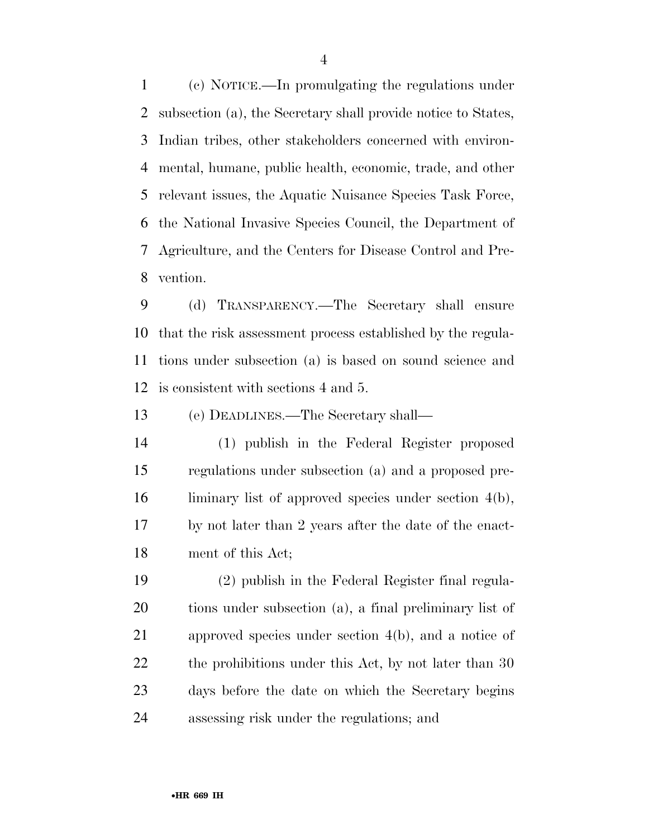(c) NOTICE.—In promulgating the regulations under subsection (a), the Secretary shall provide notice to States, Indian tribes, other stakeholders concerned with environ- mental, humane, public health, economic, trade, and other relevant issues, the Aquatic Nuisance Species Task Force, the National Invasive Species Council, the Department of Agriculture, and the Centers for Disease Control and Pre-vention.

 (d) TRANSPARENCY.—The Secretary shall ensure that the risk assessment process established by the regula- tions under subsection (a) is based on sound science and is consistent with sections 4 and 5.

(e) DEADLINES.—The Secretary shall—

 (1) publish in the Federal Register proposed regulations under subsection (a) and a proposed pre- liminary list of approved species under section 4(b), by not later than 2 years after the date of the enact-ment of this Act;

 (2) publish in the Federal Register final regula- tions under subsection (a), a final preliminary list of approved species under section 4(b), and a notice of 22 the prohibitions under this Act, by not later than 30 days before the date on which the Secretary begins assessing risk under the regulations; and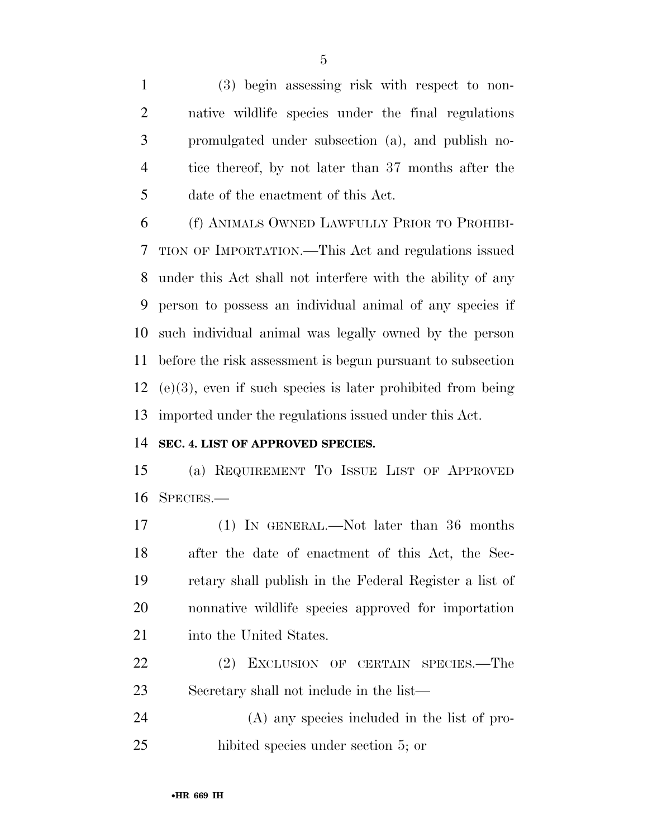(3) begin assessing risk with respect to non- native wildlife species under the final regulations promulgated under subsection (a), and publish no- tice thereof, by not later than 37 months after the date of the enactment of this Act.

 (f) ANIMALS OWNED LAWFULLY PRIOR TO PROHIBI- TION OF IMPORTATION.—This Act and regulations issued under this Act shall not interfere with the ability of any person to possess an individual animal of any species if such individual animal was legally owned by the person before the risk assessment is begun pursuant to subsection (e)(3), even if such species is later prohibited from being imported under the regulations issued under this Act.

#### **SEC. 4. LIST OF APPROVED SPECIES.**

 (a) REQUIREMENT TO ISSUE LIST OF APPROVED SPECIES.—

 (1) IN GENERAL.—Not later than 36 months after the date of enactment of this Act, the Sec- retary shall publish in the Federal Register a list of nonnative wildlife species approved for importation 21 into the United States.

 (2) EXCLUSION OF CERTAIN SPECIES.—The Secretary shall not include in the list—

 (A) any species included in the list of pro-hibited species under section 5; or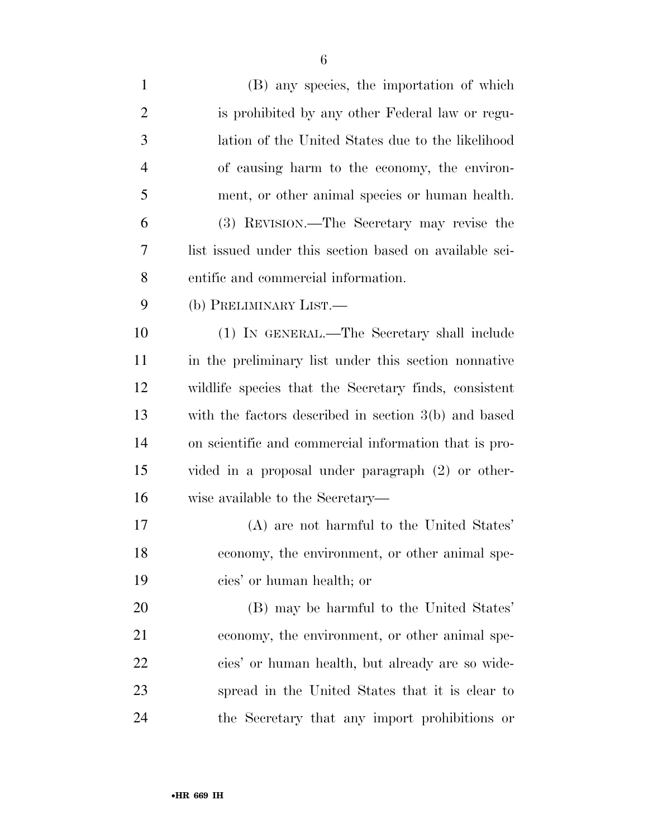| $\mathbf{1}$   | (B) any species, the importation of which              |
|----------------|--------------------------------------------------------|
| $\overline{2}$ | is prohibited by any other Federal law or regu-        |
| 3              | lation of the United States due to the likelihood      |
| $\overline{4}$ | of causing harm to the economy, the environ-           |
| 5              | ment, or other animal species or human health.         |
| 6              | (3) REVISION.—The Secretary may revise the             |
| 7              | list issued under this section based on available sci- |
| 8              | entific and commercial information.                    |
| 9              | (b) PRELIMINARY LIST.—                                 |
| 10             | (1) IN GENERAL.—The Secretary shall include            |
| 11             | in the preliminary list under this section nonnative   |
| 12             | wildlife species that the Secretary finds, consistent  |
| 13             | with the factors described in section $3(b)$ and based |
| 14             | on scientific and commercial information that is pro-  |
| 15             | vided in a proposal under paragraph (2) or other-      |
| 16             | wise available to the Secretary—                       |
| 17             | (A) are not harmful to the United States'              |
| 18             | economy, the environment, or other animal spe-         |
| 19             | cies' or human health; or                              |
| 20             | (B) may be harmful to the United States'               |
| 21             | economy, the environment, or other animal spe-         |
| 22             | cies' or human health, but already are so wide-        |
| 23             | spread in the United States that it is clear to        |
| 24             | the Secretary that any import prohibitions or          |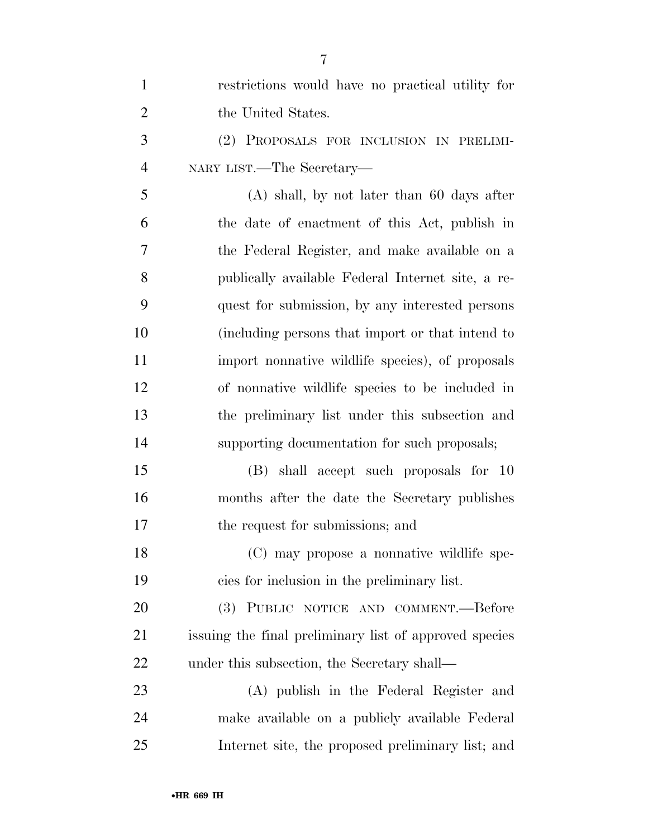| 1              | restrictions would have no practical utility for       |
|----------------|--------------------------------------------------------|
| $\overline{2}$ | the United States.                                     |
| 3              | (2) PROPOSALS FOR INCLUSION IN PRELIMI-                |
| $\overline{4}$ | NARY LIST.—The Secretary—                              |
| 5              | $(A)$ shall, by not later than 60 days after           |
| 6              | the date of enactment of this Act, publish in          |
| 7              | the Federal Register, and make available on a          |
| 8              | publically available Federal Internet site, a re-      |
| 9              | quest for submission, by any interested persons        |
| 10             | (including persons that import or that intend to       |
| 11             | import nonnative wildlife species), of proposals       |
| 12             | of nonnative wildlife species to be included in        |
| 13             | the preliminary list under this subsection and         |
| 14             | supporting documentation for such proposals;           |
| 15             | (B) shall accept such proposals for 10                 |
| 16             | months after the date the Secretary publishes          |
| 17             | the request for submissions; and                       |
| 18             | (C) may propose a nonnative wildlife spe-              |
| 19             | cies for inclusion in the preliminary list.            |
| 20             | (3)<br>PUBLIC NOTICE AND COMMENT.—Before               |
| 21             | issuing the final preliminary list of approved species |
| 22             | under this subsection, the Secretary shall—            |
| 23             | (A) publish in the Federal Register and                |
| 24             | make available on a publicly available Federal         |
| 25             | Internet site, the proposed preliminary list; and      |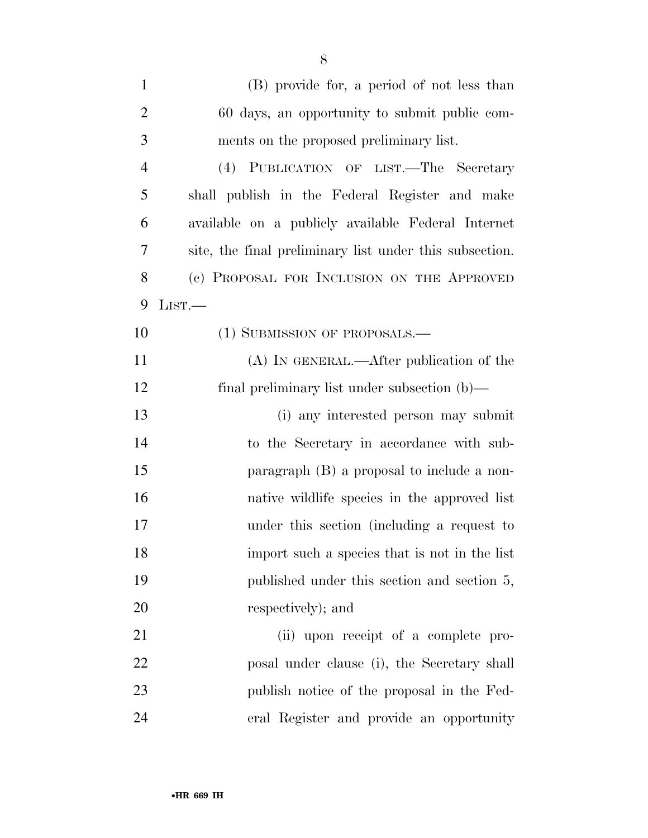| $\mathbf{1}$   | (B) provide for, a period of not less than              |
|----------------|---------------------------------------------------------|
| $\overline{2}$ | 60 days, an opportunity to submit public com-           |
| 3              | ments on the proposed preliminary list.                 |
| $\overline{4}$ | (4) PUBLICATION OF LIST.—The Secretary                  |
| 5              | shall publish in the Federal Register and make          |
| 6              | available on a publicly available Federal Internet      |
| $\overline{7}$ | site, the final preliminary list under this subsection. |
| 8              | (c) PROPOSAL FOR INCLUSION ON THE APPROVED              |
| 9              | LIST.                                                   |
| 10             | (1) SUBMISSION OF PROPOSALS.—                           |
| 11             | (A) IN GENERAL.—After publication of the                |
| 12             | final preliminary list under subsection $(b)$ —         |
| 13             | (i) any interested person may submit                    |
| 14             | to the Secretary in accordance with sub-                |
| 15             | paragraph (B) a proposal to include a non-              |
| 16             | native wildlife species in the approved list            |
| 17             | under this section (including a request to              |
| 18             | import such a species that is not in the list           |
| 19             | published under this section and section 5,             |
| 20             | respectively); and                                      |
| 21             | (ii) upon receipt of a complete pro-                    |
| 22             | posal under clause (i), the Secretary shall             |
| 23             | publish notice of the proposal in the Fed-              |
| 24             | eral Register and provide an opportunity                |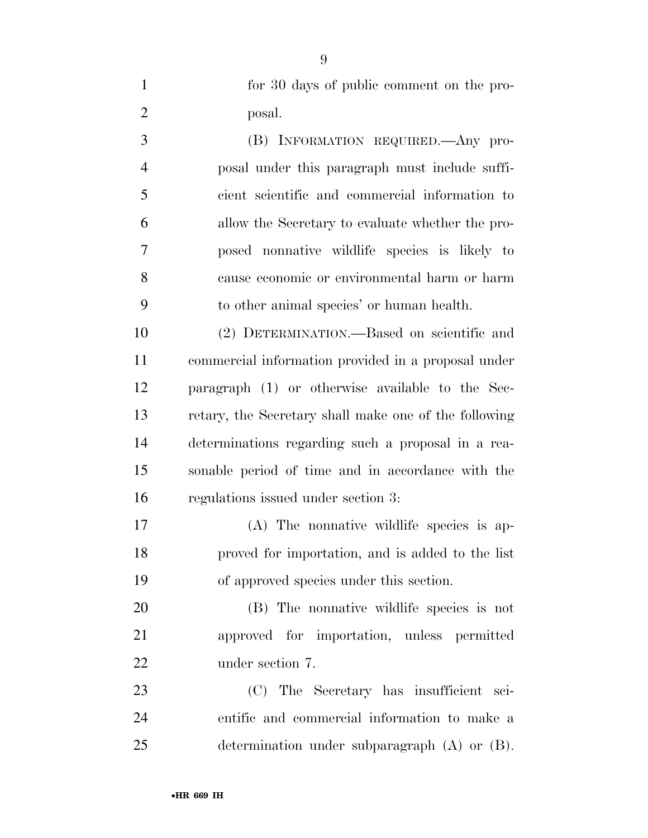for 30 days of public comment on the pro-posal.

 (B) INFORMATION REQUIRED.—Any pro- posal under this paragraph must include suffi- cient scientific and commercial information to allow the Secretary to evaluate whether the pro- posed nonnative wildlife species is likely to cause economic or environmental harm or harm to other animal species' or human health.

 (2) DETERMINATION.—Based on scientific and commercial information provided in a proposal under paragraph (1) or otherwise available to the Sec- retary, the Secretary shall make one of the following determinations regarding such a proposal in a rea- sonable period of time and in accordance with the regulations issued under section 3:

 (A) The nonnative wildlife species is ap- proved for importation, and is added to the list of approved species under this section.

 (B) The nonnative wildlife species is not approved for importation, unless permitted under section 7.

 (C) The Secretary has insufficient sci- entific and commercial information to make a determination under subparagraph (A) or (B).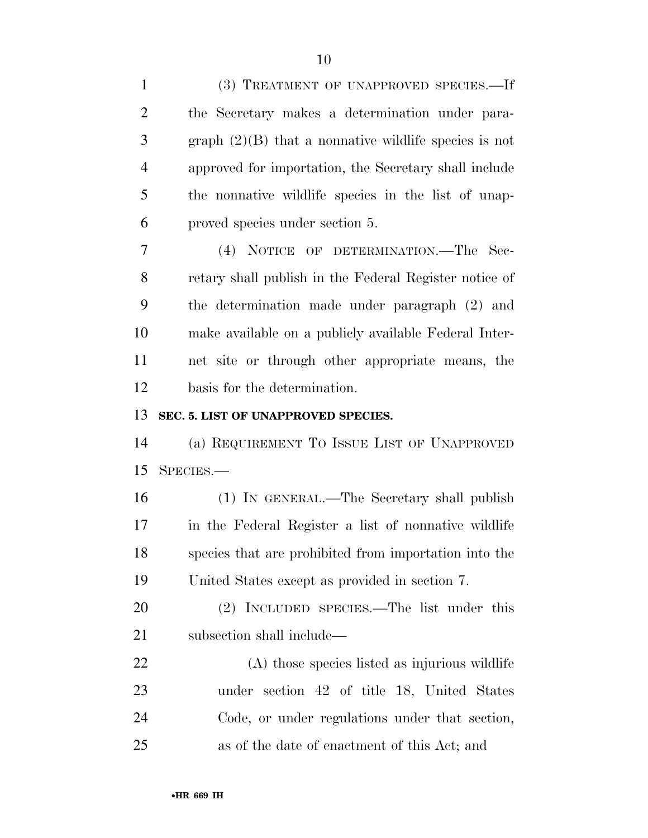| $\mathbf{1}$   | (3) TREATMENT OF UNAPPROVED SPECIES.-If                 |
|----------------|---------------------------------------------------------|
| $\overline{2}$ | the Secretary makes a determination under para-         |
| 3              | graph $(2)(B)$ that a nonnative wildlife species is not |
| $\overline{4}$ | approved for importation, the Secretary shall include   |
| 5              | the nonnative wildlife species in the list of unap-     |
| 6              | proved species under section 5.                         |
| 7              | (4) NOTICE OF DETERMINATION.—The Sec-                   |
| 8              | retary shall publish in the Federal Register notice of  |
| 9              | the determination made under paragraph (2) and          |
| 10             | make available on a publicly available Federal Inter-   |
| 11             | net site or through other appropriate means, the        |
| 12             | basis for the determination.                            |
| 13             | SEC. 5. LIST OF UNAPPROVED SPECIES.                     |
| 14             | (a) REQUIREMENT TO ISSUE LIST OF UNAPPROVED             |
| 15             | SPECIES.                                                |
| 16             | (1) IN GENERAL.—The Secretary shall publish             |
| 17             | in the Federal Register a list of nonnative wildlife    |
| 18             | species that are prohibited from importation into the   |
| 19             | United States except as provided in section 7.          |
| <b>20</b>      | (2) INCLUDED SPECIES.—The list under this               |
| 21             | subsection shall include—                               |
| 22             | (A) those species listed as injurious wildlife          |
| 23             | under section 42 of title 18, United States             |
| 24             |                                                         |
|                | Code, or under regulations under that section,          |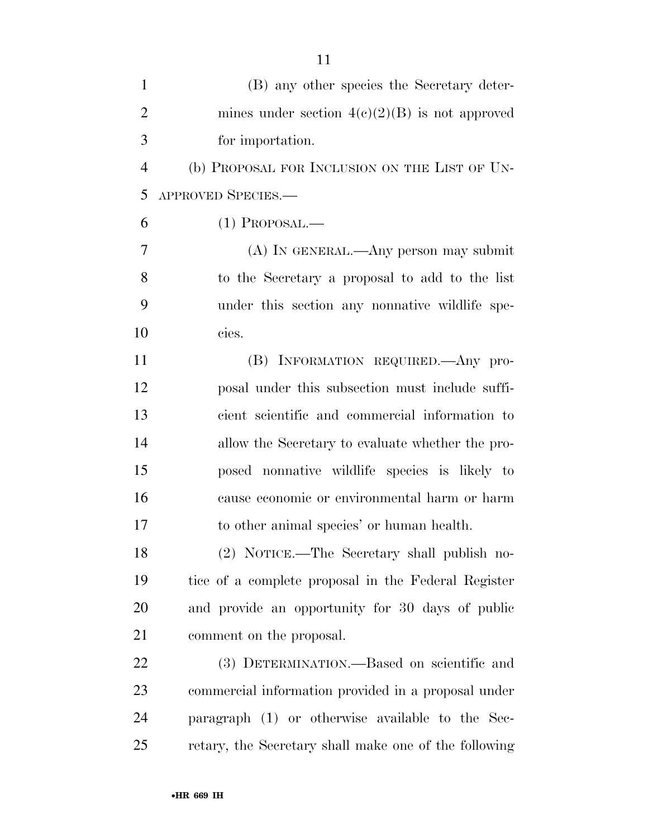| $\mathbf{1}$   | (B) any other species the Secretary deter-            |
|----------------|-------------------------------------------------------|
| $\overline{2}$ | mines under section $4(e)(2)(B)$ is not approved      |
| 3              | for importation.                                      |
| $\overline{4}$ | (b) PROPOSAL FOR INCLUSION ON THE LIST OF UN-         |
| 5              | APPROVED SPECIES.-                                    |
| 6              | $(1)$ PROPOSAL.—                                      |
| $\overline{7}$ | (A) IN GENERAL.—Any person may submit                 |
| 8              | to the Secretary a proposal to add to the list        |
| 9              | under this section any nonnative wildlife spe-        |
| 10             | cies.                                                 |
| 11             | (B) INFORMATION REQUIRED. Any pro-                    |
| 12             | posal under this subsection must include suffi-       |
| 13             | cient scientific and commercial information to        |
| 14             | allow the Secretary to evaluate whether the pro-      |
| 15             | posed nonnative wildlife species is likely to         |
| 16             | cause economic or environmental harm or harm          |
| 17             | to other animal species' or human health.             |
| 18             | (2) NOTICE.—The Secretary shall publish no-           |
| 19             | tice of a complete proposal in the Federal Register   |
| 20             | and provide an opportunity for 30 days of public      |
| 21             | comment on the proposal.                              |
| 22             | (3) DETERMINATION.—Based on scientific and            |
| 23             | commercial information provided in a proposal under   |
| 24             | paragraph (1) or otherwise available to the Sec-      |
| 25             | retary, the Secretary shall make one of the following |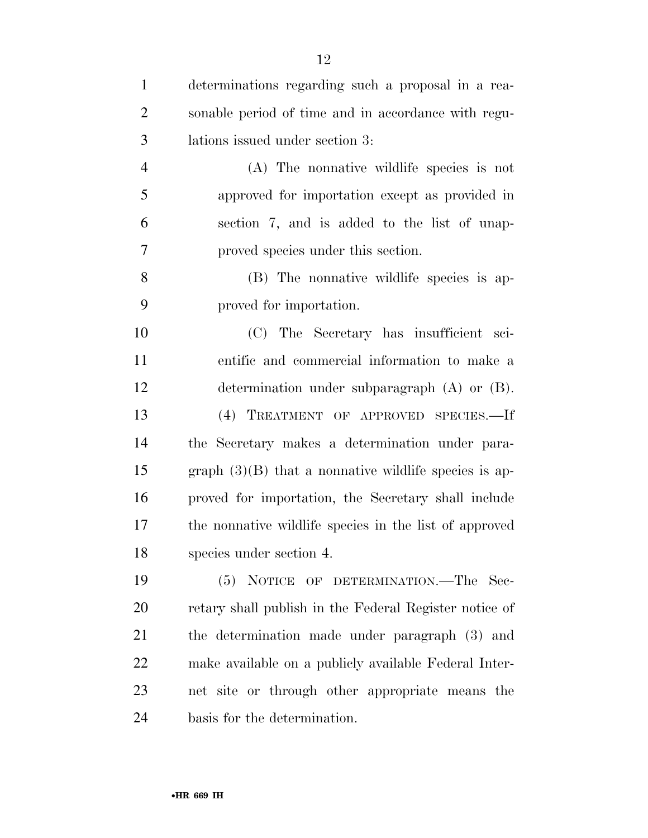| $\mathbf{1}$   | determinations regarding such a proposal in a rea-      |
|----------------|---------------------------------------------------------|
| $\overline{2}$ | sonable period of time and in accordance with regu-     |
| 3              | lations issued under section 3:                         |
| $\overline{4}$ | (A) The nonnative wildlife species is not               |
| 5              | approved for importation except as provided in          |
| 6              | section 7, and is added to the list of unap-            |
| 7              | proved species under this section.                      |
| 8              | (B) The nonnative wildlife species is ap-               |
| 9              | proved for importation.                                 |
| 10             | (C) The Secretary has insufficient sci-                 |
| 11             | entific and commercial information to make a            |
| 12             | determination under subparagraph $(A)$ or $(B)$ .       |
| 13             | (4) TREATMENT OF APPROVED SPECIES.—If                   |
| 14             | the Secretary makes a determination under para-         |
| 15             | graph $(3)(B)$ that a nonnative wildlife species is ap- |
| 16             | proved for importation, the Secretary shall include     |
| 17             | the nonnative wildlife species in the list of approved  |
| 18             | species under section 4.                                |
| 19             | NOTICE OF DETERMINATION.—The Sec-<br>(5)                |
| 20             | retary shall publish in the Federal Register notice of  |
| 21             | the determination made under paragraph (3) and          |
| 22             | make available on a publicly available Federal Inter-   |
| 23             | net site or through other appropriate means the         |
| 24             | basis for the determination.                            |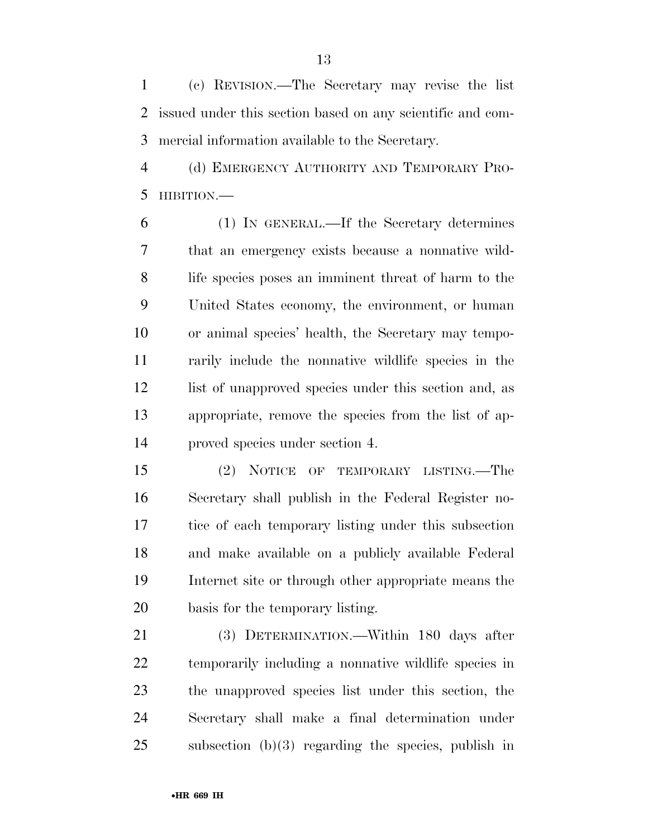(c) REVISION.—The Secretary may revise the list issued under this section based on any scientific and com-mercial information available to the Secretary.

 (d) EMERGENCY AUTHORITY AND TEMPORARY PRO-HIBITION.—

 (1) IN GENERAL.—If the Secretary determines that an emergency exists because a nonnative wild- life species poses an imminent threat of harm to the United States economy, the environment, or human or animal species' health, the Secretary may tempo- rarily include the nonnative wildlife species in the 12 list of unapproved species under this section and, as appropriate, remove the species from the list of ap-proved species under section 4.

 (2) NOTICE OF TEMPORARY LISTING.—The Secretary shall publish in the Federal Register no- tice of each temporary listing under this subsection and make available on a publicly available Federal Internet site or through other appropriate means the basis for the temporary listing.

 (3) DETERMINATION.—Within 180 days after temporarily including a nonnative wildlife species in the unapproved species list under this section, the Secretary shall make a final determination under subsection (b)(3) regarding the species, publish in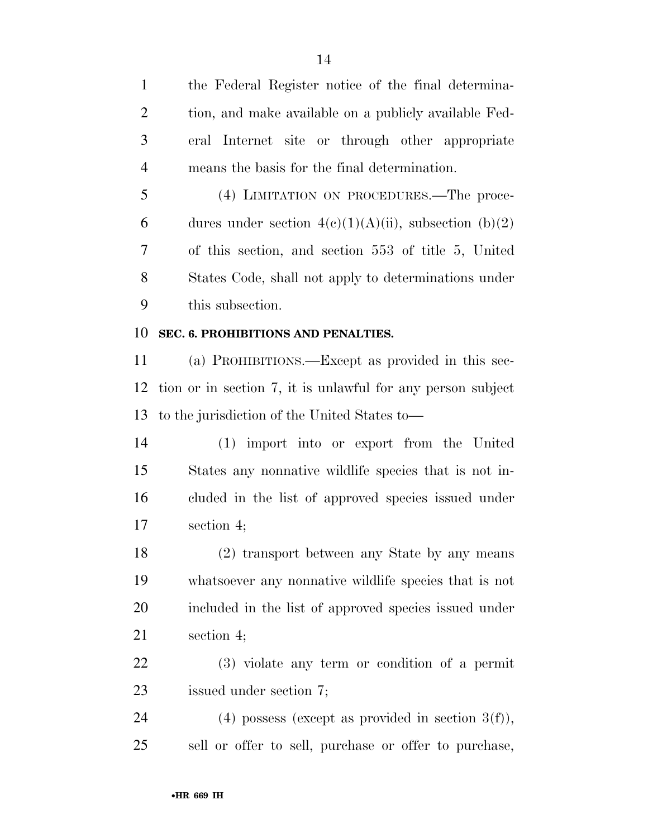the Federal Register notice of the final determina-2 tion, and make available on a publicly available Fed- eral Internet site or through other appropriate means the basis for the final determination.

 (4) LIMITATION ON PROCEDURES.—The proce-6 dures under section  $4(c)(1)(A)(ii)$ , subsection  $(b)(2)$  of this section, and section 553 of title 5, United States Code, shall not apply to determinations under this subsection.

#### **SEC. 6. PROHIBITIONS AND PENALTIES.**

 (a) PROHIBITIONS.—Except as provided in this sec- tion or in section 7, it is unlawful for any person subject to the jurisdiction of the United States to—

 (1) import into or export from the United States any nonnative wildlife species that is not in- cluded in the list of approved species issued under section 4;

 (2) transport between any State by any means whatsoever any nonnative wildlife species that is not included in the list of approved species issued under section 4;

 (3) violate any term or condition of a permit issued under section 7;

24 (4) possess (except as provided in section  $3(f)$ ), sell or offer to sell, purchase or offer to purchase,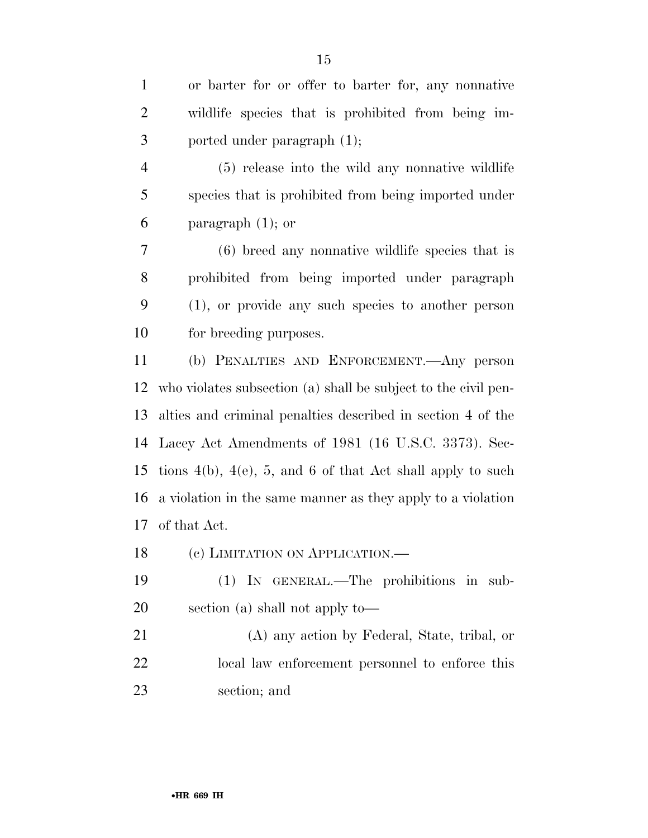or barter for or offer to barter for, any nonnative wildlife species that is prohibited from being im-ported under paragraph (1);

 (5) release into the wild any nonnative wildlife species that is prohibited from being imported under paragraph (1); or

 (6) breed any nonnative wildlife species that is prohibited from being imported under paragraph (1), or provide any such species to another person for breeding purposes.

 (b) PENALTIES AND ENFORCEMENT.—Any person who violates subsection (a) shall be subject to the civil pen- alties and criminal penalties described in section 4 of the Lacey Act Amendments of 1981 (16 U.S.C. 3373). Sec- tions 4(b), 4(e), 5, and 6 of that Act shall apply to such a violation in the same manner as they apply to a violation of that Act.

18 (c) LIMITATION ON APPLICATION.—

 (1) IN GENERAL.—The prohibitions in sub-section (a) shall not apply to—

 (A) any action by Federal, State, tribal, or local law enforcement personnel to enforce this section; and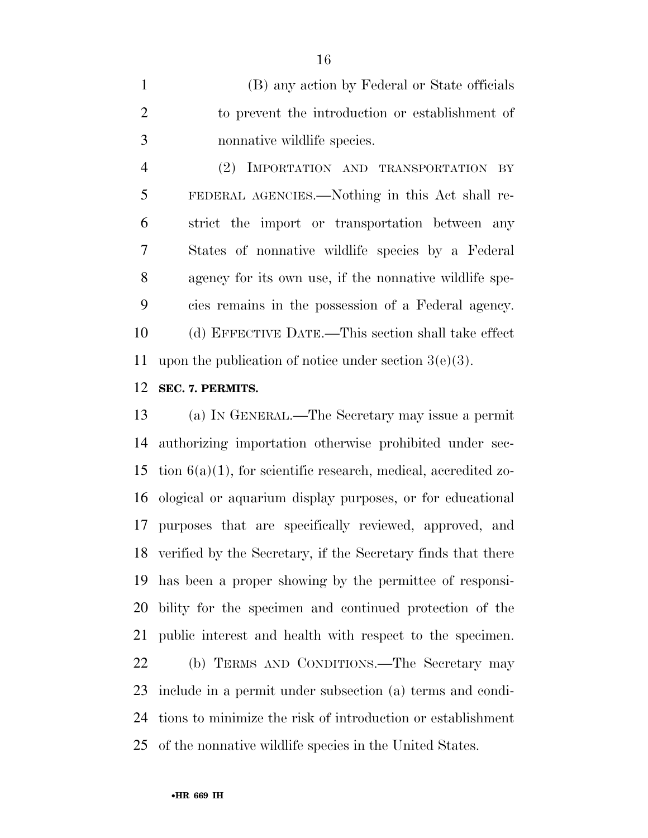(B) any action by Federal or State officials to prevent the introduction or establishment of nonnative wildlife species.

 (2) IMPORTATION AND TRANSPORTATION BY FEDERAL AGENCIES.—Nothing in this Act shall re- strict the import or transportation between any States of nonnative wildlife species by a Federal agency for its own use, if the nonnative wildlife spe- cies remains in the possession of a Federal agency. (d) EFFECTIVE DATE.—This section shall take effect 11 upon the publication of notice under section  $3(e)(3)$ .

**SEC. 7. PERMITS.** 

 (a) IN GENERAL.—The Secretary may issue a permit authorizing importation otherwise prohibited under sec-15 tion  $6(a)(1)$ , for scientific research, medical, accredited zo- ological or aquarium display purposes, or for educational purposes that are specifically reviewed, approved, and verified by the Secretary, if the Secretary finds that there has been a proper showing by the permittee of responsi- bility for the specimen and continued protection of the public interest and health with respect to the specimen.

 (b) TERMS AND CONDITIONS.—The Secretary may include in a permit under subsection (a) terms and condi- tions to minimize the risk of introduction or establishment of the nonnative wildlife species in the United States.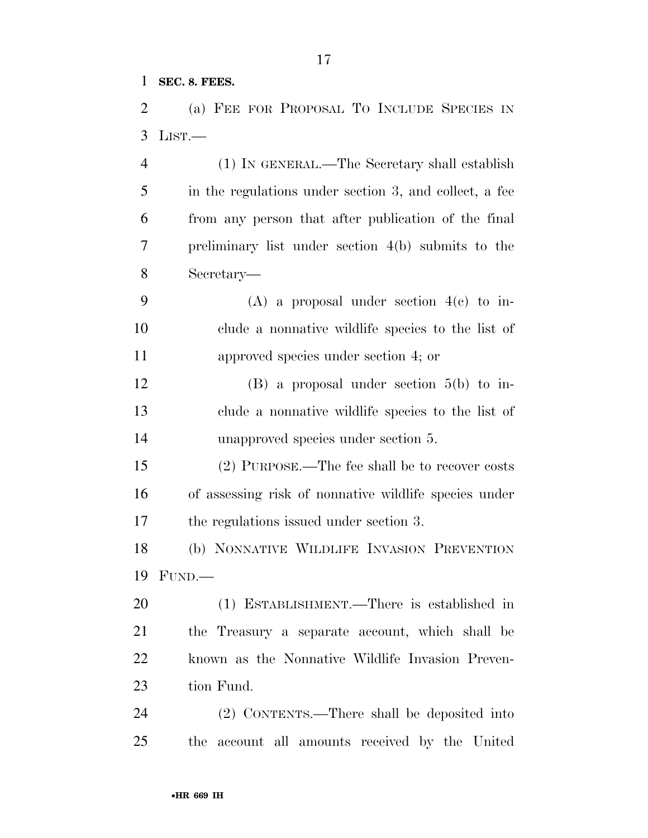**SEC. 8. FEES.** 

 (a) FEE FOR PROPOSAL TO INCLUDE SPECIES IN LIST.—

 (1) IN GENERAL.—The Secretary shall establish in the regulations under section 3, and collect, a fee from any person that after publication of the final preliminary list under section 4(b) submits to the Secretary— (A) a proposal under section 4(c) to in- clude a nonnative wildlife species to the list of approved species under section 4; or (B) a proposal under section 5(b) to in- clude a nonnative wildlife species to the list of unapproved species under section 5. (2) PURPOSE.—The fee shall be to recover costs of assessing risk of nonnative wildlife species under the regulations issued under section 3. (b) NONNATIVE WILDLIFE INVASION PREVENTION FUND.— (1) ESTABLISHMENT.—There is established in the Treasury a separate account, which shall be known as the Nonnative Wildlife Invasion Preven- tion Fund. (2) CONTENTS.—There shall be deposited into

the account all amounts received by the United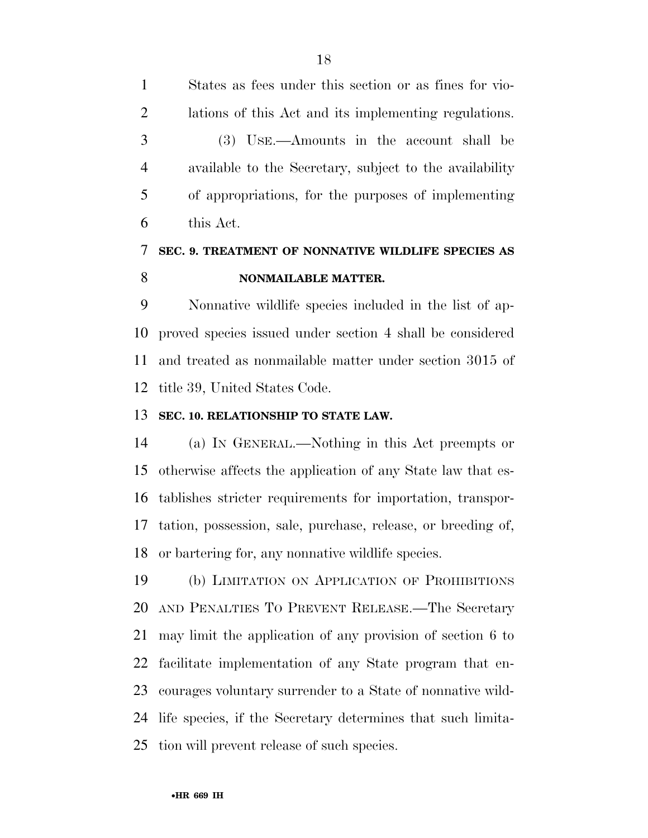States as fees under this section or as fines for vio- lations of this Act and its implementing regulations. (3) USE.—Amounts in the account shall be available to the Secretary, subject to the availability of appropriations, for the purposes of implementing this Act.

### **SEC. 9. TREATMENT OF NONNATIVE WILDLIFE SPECIES AS NONMAILABLE MATTER.**

 Nonnative wildlife species included in the list of ap- proved species issued under section 4 shall be considered and treated as nonmailable matter under section 3015 of title 39, United States Code.

#### **SEC. 10. RELATIONSHIP TO STATE LAW.**

 (a) IN GENERAL.—Nothing in this Act preempts or otherwise affects the application of any State law that es- tablishes stricter requirements for importation, transpor- tation, possession, sale, purchase, release, or breeding of, or bartering for, any nonnative wildlife species.

 (b) LIMITATION ON APPLICATION OF PROHIBITIONS AND PENALTIES TO PREVENT RELEASE.—The Secretary may limit the application of any provision of section 6 to facilitate implementation of any State program that en- courages voluntary surrender to a State of nonnative wild- life species, if the Secretary determines that such limita-tion will prevent release of such species.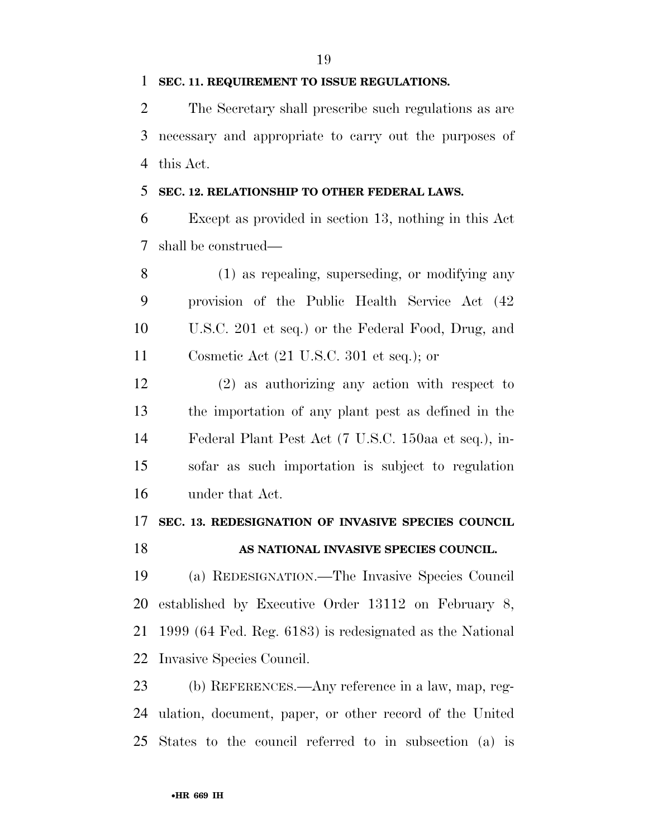**SEC. 11. REQUIREMENT TO ISSUE REGULATIONS.** 

 The Secretary shall prescribe such regulations as are necessary and appropriate to carry out the purposes of this Act.

#### **SEC. 12. RELATIONSHIP TO OTHER FEDERAL LAWS.**

 Except as provided in section 13, nothing in this Act shall be construed—

 (1) as repealing, superseding, or modifying any provision of the Public Health Service Act (42 U.S.C. 201 et seq.) or the Federal Food, Drug, and Cosmetic Act (21 U.S.C. 301 et seq.); or

 (2) as authorizing any action with respect to the importation of any plant pest as defined in the Federal Plant Pest Act (7 U.S.C. 150aa et seq.), in- sofar as such importation is subject to regulation under that Act.

# **SEC. 13. REDESIGNATION OF INVASIVE SPECIES COUNCIL**

### **AS NATIONAL INVASIVE SPECIES COUNCIL.**

 (a) REDESIGNATION.—The Invasive Species Council established by Executive Order 13112 on February 8, 1999 (64 Fed. Reg. 6183) is redesignated as the National Invasive Species Council.

 (b) REFERENCES.—Any reference in a law, map, reg- ulation, document, paper, or other record of the United States to the council referred to in subsection (a) is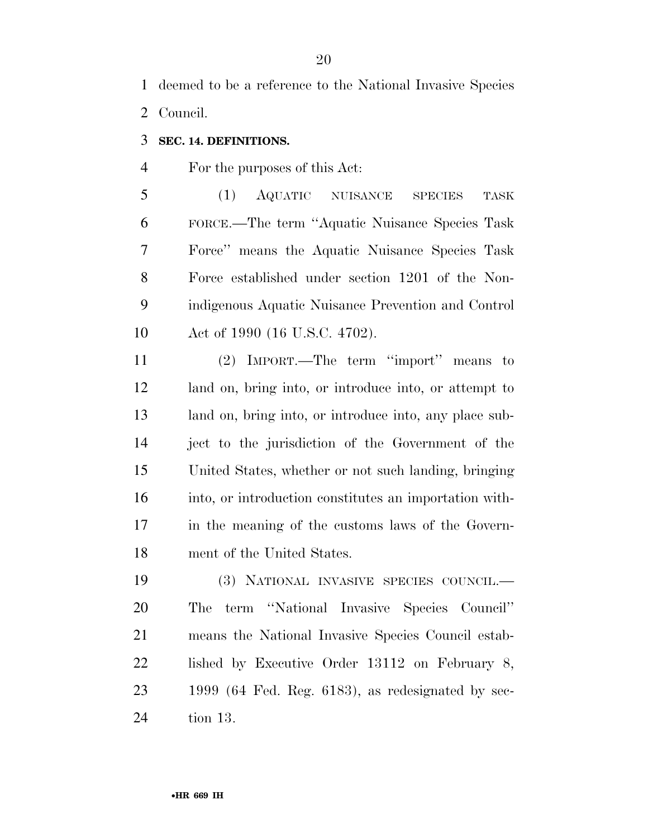deemed to be a reference to the National Invasive Species Council.

#### **SEC. 14. DEFINITIONS.**

For the purposes of this Act:

 (1) AQUATIC NUISANCE SPECIES TASK FORCE.—The term ''Aquatic Nuisance Species Task Force'' means the Aquatic Nuisance Species Task Force established under section 1201 of the Non- indigenous Aquatic Nuisance Prevention and Control Act of 1990 (16 U.S.C. 4702).

 (2) IMPORT.—The term ''import'' means to land on, bring into, or introduce into, or attempt to land on, bring into, or introduce into, any place sub- ject to the jurisdiction of the Government of the United States, whether or not such landing, bringing into, or introduction constitutes an importation with- in the meaning of the customs laws of the Govern-ment of the United States.

 (3) NATIONAL INVASIVE SPECIES COUNCIL.— The term ''National Invasive Species Council'' means the National Invasive Species Council estab-22 lished by Executive Order 13112 on February 8, 1999 (64 Fed. Reg. 6183), as redesignated by sec-tion 13.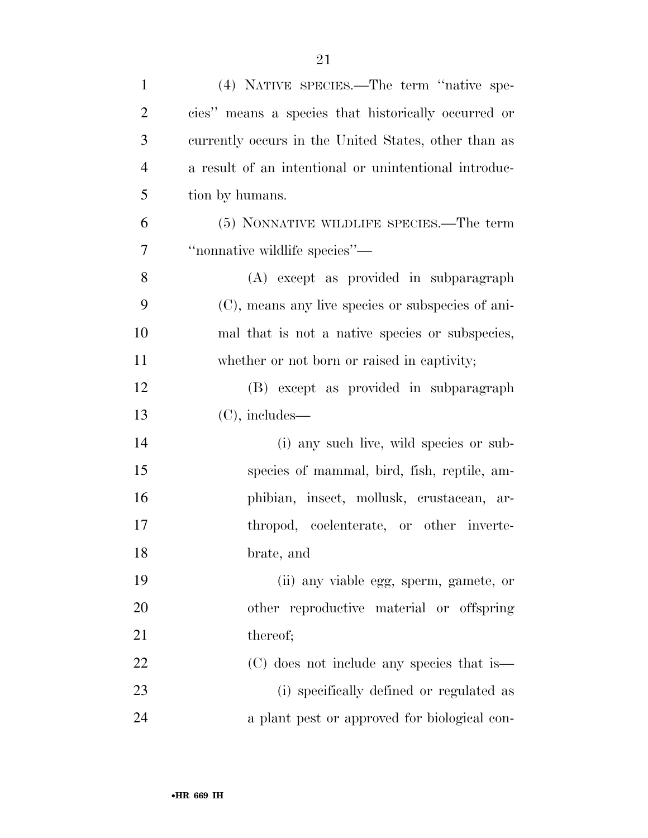| $\mathbf{1}$   | (4) NATIVE SPECIES.—The term "native spe-             |
|----------------|-------------------------------------------------------|
| $\overline{2}$ | cies" means a species that historically occurred or   |
| 3              | currently occurs in the United States, other than as  |
| $\overline{4}$ | a result of an intentional or unintentional introduc- |
| 5              | tion by humans.                                       |
| 6              | (5) NONNATIVE WILDLIFE SPECIES.—The term              |
| $\tau$         | "nonnative wildlife species"-                         |
| 8              | (A) except as provided in subparagraph                |
| 9              | (C), means any live species or subspecies of ani-     |
| 10             | mal that is not a native species or subspecies,       |
| 11             | whether or not born or raised in captivity;           |
| 12             | (B) except as provided in subparagraph                |
| 13             | $(C)$ , includes—                                     |
| 14             | (i) any such live, wild species or sub-               |
| 15             | species of mammal, bird, fish, reptile, am-           |
| 16             | phibian, insect, mollusk, crustacean, ar-             |
| 17             | thropod, coelenterate, or other inverte-              |
| 18             | brate, and                                            |
| 19             | (ii) any viable egg, sperm, gamete, or                |
| 20             | other reproductive material or offspring              |
| 21             | thereof;                                              |
| 22             | (C) does not include any species that is              |
| 23             | (i) specifically defined or regulated as              |
| 24             | a plant pest or approved for biological con-          |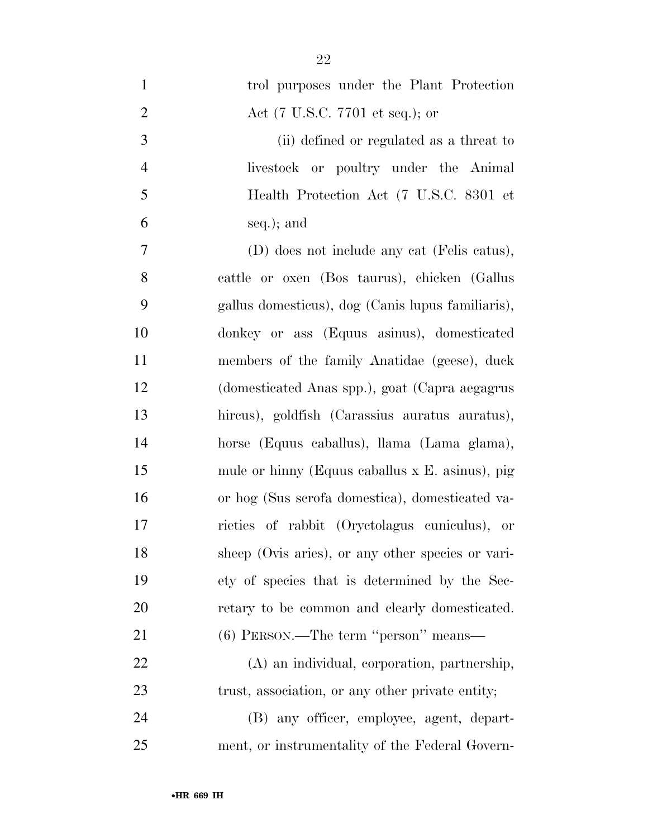| $\mathbf{1}$   | trol purposes under the Plant Protection          |
|----------------|---------------------------------------------------|
| $\mathbf{2}$   | Act (7 U.S.C. 7701 et seq.); or                   |
| 3              | (ii) defined or regulated as a threat to          |
| $\overline{4}$ | livestock or poultry under the Animal             |
| 5              | Health Protection Act (7 U.S.C. 8301 et           |
| 6              | seq.); and                                        |
| 7              | (D) does not include any cat (Felis catus),       |
| 8              | cattle or oxen (Bos taurus), chicken (Gallus      |
| 9              | gallus domesticus), dog (Canis lupus familiaris), |
| 10             | donkey or ass (Equus asinus), domesticated        |
| 11             | members of the family Anatidae (geese), duck      |
| 12             | (domesticated Anas spp.), goat (Capra aegagrus    |
| 13             | hireus), goldfish (Carassius auratus auratus),    |
| 14             | horse (Equus caballus), llama (Lama glama),       |
| 15             | mule or hinny (Equus caballus x E. asinus), pig   |
| 16             | or hog (Sus scrofa domestica), domesticated va-   |
| 17             | rieties of rabbit (Oryctolagus cuniculus), or     |
| 18             | sheep (Ovis aries), or any other species or vari- |
| 19             | ety of species that is determined by the Sec-     |
| 20             | retary to be common and clearly domesticated.     |
| 21             | $(6)$ PERSON.—The term "person" means—            |
| 22             | (A) an individual, corporation, partnership,      |
| 23             | trust, association, or any other private entity;  |
| 24             | (B) any officer, employee, agent, depart-         |
| 25             | ment, or instrumentality of the Federal Govern-   |